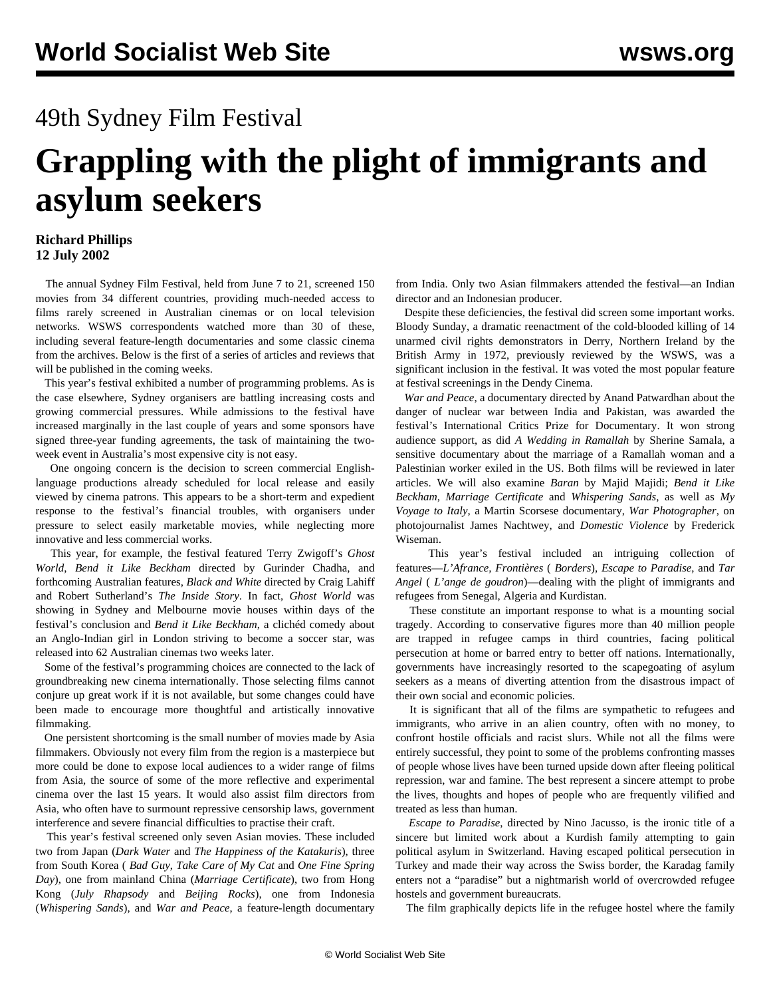## 49th Sydney Film Festival

## **Grappling with the plight of immigrants and asylum seekers**

## **Richard Phillips 12 July 2002**

 The annual Sydney Film Festival, held from June 7 to 21, screened 150 movies from 34 different countries, providing much-needed access to films rarely screened in Australian cinemas or on local television networks. WSWS correspondents watched more than 30 of these, including several feature-length documentaries and some classic cinema from the archives. Below is the first of a series of articles and reviews that will be published in the coming weeks.

 This year's festival exhibited a number of programming problems. As is the case elsewhere, Sydney organisers are battling increasing costs and growing commercial pressures. While admissions to the festival have increased marginally in the last couple of years and some sponsors have signed three-year funding agreements, the task of maintaining the twoweek event in Australia's most expensive city is not easy.

 One ongoing concern is the decision to screen commercial Englishlanguage productions already scheduled for local release and easily viewed by cinema patrons. This appears to be a short-term and expedient response to the festival's financial troubles, with organisers under pressure to select easily marketable movies, while neglecting more innovative and less commercial works.

 This year, for example, the festival featured Terry Zwigoff's *Ghost World*, *Bend it Like Beckham* directed by Gurinder Chadha, and forthcoming Australian features, *Black and White* directed by Craig Lahiff and Robert Sutherland's *The Inside Story*. In fact, *Ghost World* was showing in Sydney and Melbourne movie houses within days of the festival's conclusion and *Bend it Like Beckham*, a clichéd comedy about an Anglo-Indian girl in London striving to become a soccer star, was released into 62 Australian cinemas two weeks later.

 Some of the festival's programming choices are connected to the lack of groundbreaking new cinema internationally. Those selecting films cannot conjure up great work if it is not available, but some changes could have been made to encourage more thoughtful and artistically innovative filmmaking.

 One persistent shortcoming is the small number of movies made by Asia filmmakers. Obviously not every film from the region is a masterpiece but more could be done to expose local audiences to a wider range of films from Asia, the source of some of the more reflective and experimental cinema over the last 15 years. It would also assist film directors from Asia, who often have to surmount repressive censorship laws, government interference and severe financial difficulties to practise their craft.

 This year's festival screened only seven Asian movies. These included two from Japan (*Dark Water* and *The Happiness of the Katakuris*), three from South Korea ( *Bad Guy*, *Take Care of My Cat* and *One Fine Spring Day*), one from mainland China (*Marriage Certificate*), two from Hong Kong (*July Rhapsody* and *Beijing Rocks*), one from Indonesia (*Whispering Sands*), and *War and Peace*, a feature-length documentary

from India. Only two Asian filmmakers attended the festival—an Indian director and an Indonesian producer.

 Despite these deficiencies, the festival did screen some important works. [Bloody Sunday,](../feb2002/ire-f21.shtml) a dramatic reenactment of the cold-blooded killing of 14 unarmed civil rights demonstrators in Derry, Northern Ireland by the British Army in 1972, previously reviewed by the WSWS, was a significant inclusion in the festival. It was voted the most popular feature at festival screenings in the Dendy Cinema.

 *War and Peace*, a documentary directed by Anand Patwardhan about the danger of nuclear war between India and Pakistan, was awarded the festival's International Critics Prize for Documentary. It won strong audience support, as did *A Wedding in Ramallah* by Sherine Samala, a sensitive documentary about the marriage of a Ramallah woman and a Palestinian worker exiled in the US. Both films will be reviewed in later articles. We will also examine *Baran* by Majid Majidi; *Bend it Like Beckham*, *Marriage Certificate* and *Whispering Sands*, as well as *My Voyage to Italy*, a Martin Scorsese documentary, *War Photographer*, on photojournalist James Nachtwey, and *Domestic Violence* by Frederick Wiseman.

 This year's festival included an intriguing collection of features—*L'Afrance, Frontières* ( *Borders*), *Escape to Paradise*, and *Tar Angel* ( *L'ange de goudron*)—dealing with the plight of immigrants and refugees from Senegal, Algeria and Kurdistan.

 These constitute an important response to what is a mounting social tragedy. According to conservative figures more than 40 million people are trapped in refugee camps in third countries, facing political persecution at home or barred entry to better off nations. Internationally, governments have increasingly resorted to the scapegoating of asylum seekers as a means of diverting attention from the disastrous impact of their own social and economic policies.

 It is significant that all of the films are sympathetic to refugees and immigrants, who arrive in an alien country, often with no money, to confront hostile officials and racist slurs. While not all the films were entirely successful, they point to some of the problems confronting masses of people whose lives have been turned upside down after fleeing political repression, war and famine. The best represent a sincere attempt to probe the lives, thoughts and hopes of people who are frequently vilified and treated as less than human.

 *Escape to Paradise*, directed by Nino Jacusso, is the ironic title of a sincere but limited work about a Kurdish family attempting to gain political asylum in Switzerland. Having escaped political persecution in Turkey and made their way across the Swiss border, the Karadag family enters not a "paradise" but a nightmarish world of overcrowded refugee hostels and government bureaucrats.

The film graphically depicts life in the refugee hostel where the family